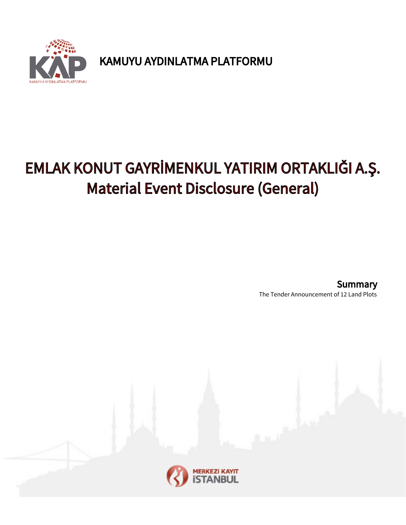

KAMUYU AYDINLATMA PLATFORMU

## EMLAK KONUT GAYRİMENKUL YATIRIM ORTAKLIĞI A.Ş. Material Event Disclosure (General)

The Tender Announcement of 12 Land Plots **Summary**